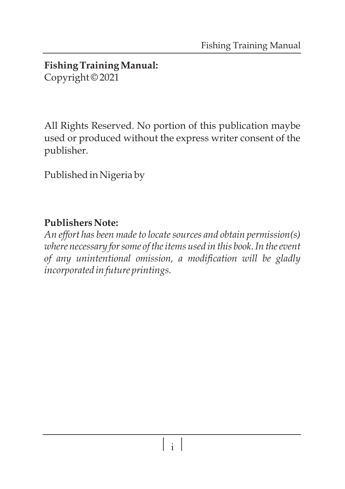#### **Fishing Training Manual:**  Copyright © 2021

All Rights Reserved. No portion of this publication maybe used or produced without the express writer consent of the publisher.

Published in Nigeria by

#### **Publishers Note:**

*An effort has been made to locate sources and obtain permission(s) where necessary for some of the items used in this book. In the event of any unintentional omission, a modification will be gladly incorporated in future printings.*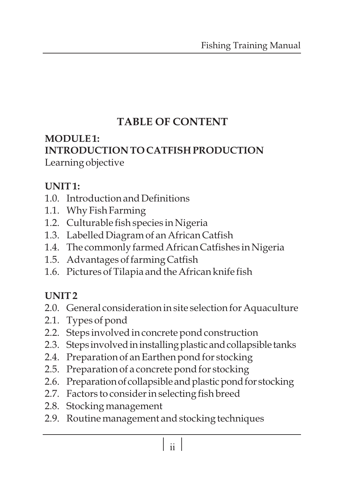# **TABLE OF CONTENT**

#### **MODULE 1: INTRODUCTION TO CATFISH PRODUCTION** Learning objective

#### **UNIT 1:**

- 1.0. Introduction and Definitions
- 1.1. Why Fish Farming
- 1.2. Culturable fish species in Nigeria
- 1.3. Labelled Diagram of an African Catfish
- 1.4. The commonly farmed African Catfishes in Nigeria
- 1.5. Advantages of farming Catfish
- 1.6. Pictures of Tilapia and the African knife fish

#### **UNIT 2**

- 2.0. General consideration in site selection for Aquaculture
- 2.1. Types of pond
- 2.2. Steps involved in concrete pond construction
- 2.3. Steps involved in installing plastic and collapsible tanks
- 2.4. Preparation of an Earthen pond for stocking
- 2.5. Preparation of a concrete pond for stocking
- 2.6. Preparation of collapsible and plastic pond for stocking
- 2.7. Factors to consider in selecting fish breed
- 2.8. Stocking management
- 2.9. Routine management and stocking techniques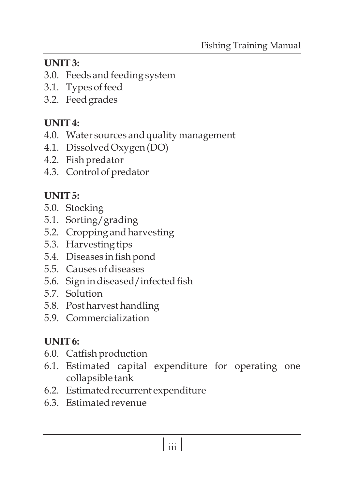# **UNIT 3:**

- 3.0. Feeds and feeding system
- 3.1. Types of feed
- 3.2. Feed grades

# **UNIT 4:**

- 4.0. Water sources and quality management
- 4.1. Dissolved Oxygen (DO)
- 4.2. Fish predator
- 4.3. Control of predator

# **UNIT 5:**

- 5.0. Stocking
- 5.1. Sorting/grading
- 5.2. Cropping and harvesting
- 5.3. Harvesting tips
- 5.4. Diseases in fish pond
- 5.5. Causes of diseases
- 5.6. Sign in diseased/infected fish
- 5.7. Solution
- 5.8. Post harvest handling
- 5.9. Commercialization

# **UNIT 6:**

- 6.0. Catfish production
- 6.1. Estimated capital expenditure for operating one collapsible tank
- 6.2. Estimated recurrent expenditure
- 6.3. Estimated revenue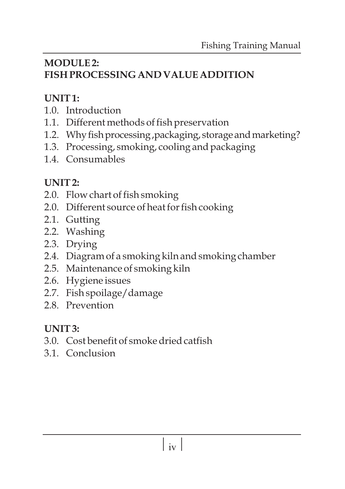## **MODULE 2: FISH PROCESSING AND VALUE ADDITION**

# **UNIT 1:**

- 1.0. Introduction
- 1.1. Different methods of fish preservation
- 1.2. Why fish processing, packaging, storage and marketing?
- 1.3. Processing, smoking, cooling and packaging
- 1.4. Consumables

# **UNIT 2:**

- 2.0. Flow chart of fish smoking
- 2.0. Different source of heat for fish cooking
- 2.1. Gutting
- 2.2. Washing
- 2.3. Drying
- 2.4. Diagram of a smoking kiln and smoking chamber
- 2.5. Maintenance of smoking kiln
- 2.6. Hygiene issues
- 2.7. Fish spoilage/damage
- 2.8. Prevention

# **UNIT 3:**

- 3.0. Cost benefit of smoke dried catfish
- 3.1. Conclusion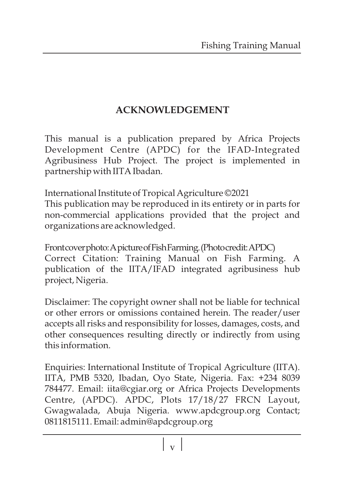#### **ACKNOWLEDGEMENT**

This manual is a publication prepared by Africa Projects Development Centre (APDC) for the IFAD-Integrated Agribusiness Hub Project. The project is implemented in partnership with IITA Ibadan.

International Institute of Tropical Agriculture ©2021 This publication may be reproduced in its entirety or in parts for non-commercial applications provided that the project and organizations are acknowledged.

Frontcoverphoto:ApictureofFishFarming.(Photocredit:APDC) Correct Citation: Training Manual on Fish Farming. A publication of the IITA/IFAD integrated agribusiness hub project, Nigeria.

Disclaimer: The copyright owner shall not be liable for technical or other errors or omissions contained herein. The reader/user accepts all risks and responsibility for losses, damages, costs, and other consequences resulting directly or indirectly from using this information.

Enquiries: International Institute of Tropical Agriculture (IITA). IITA, PMB 5320, Ibadan, Oyo State, Nigeria. Fax: +234 8039 784477. Email: iita@cgiar.org or Africa Projects Developments Centre, (APDC). APDC, Plots 17/18/27 FRCN Layout, Gwagwalada, Abuja Nigeria. www.apdcgroup.org Contact; 0811815111. Email: admin@apdcgroup.org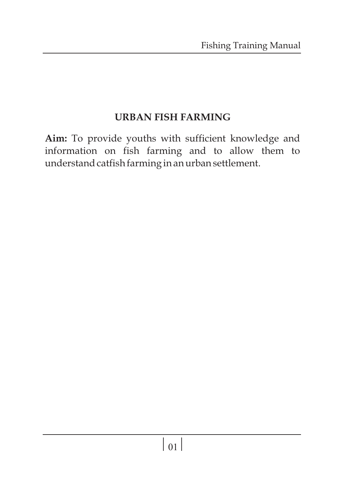#### **URBAN FISH FARMING**

**Aim:** To provide youths with sufficient knowledge and information on fish farming and to allow them to understand catfish farming in an urban settlement.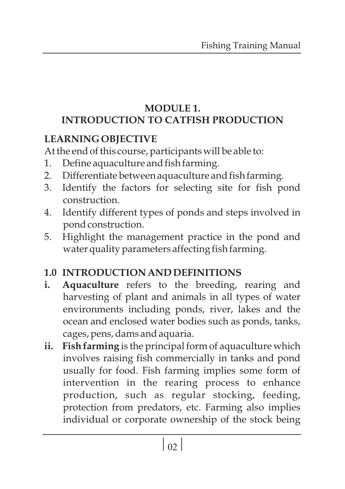#### **MODULE 1. INTRODUCTION TO CATFISH PRODUCTION**

## **LEARNING OBJECTIVE**

At the end of this course, participants will be able to:

- 1. Define aquaculture and fish farming.
- 2. Differentiate between aquaculture and fish farming.
- 3. Identify the factors for selecting site for fish pond construction.
- 4. Identify different types of ponds and steps involved in pond construction.
- 5. Highlight the management practice in the pond and water quality parameters affecting fish farming.

# **1.0 INTRODUCTION AND DEFINITIONS**

- **i. Aquaculture** refers to the breeding, rearing and harvesting of plant and animals in all types of water environments including ponds, river, lakes and the ocean and enclosed water bodies such as ponds, tanks, cages, pens, dams and aquaria.
- **ii. Fish farming** is the principal form of aquaculture which involves raising fish commercially in tanks and pond usually for food. Fish farming implies some form of intervention in the rearing process to enhance production, such as regular stocking, feeding, protection from predators, etc. Farming also implies individual or corporate ownership of the stock being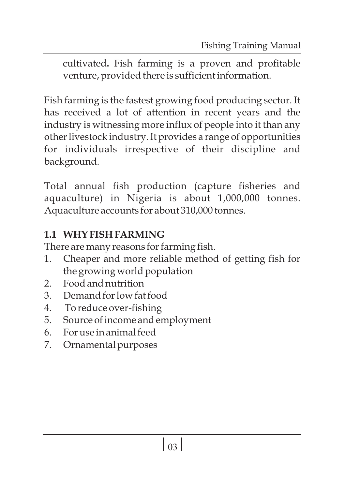cultivated**.** Fish farming is a proven and profitable venture, provided there is sufficient information.

Fish farming is the fastest growing food producing sector. It has received a lot of attention in recent years and the industry is witnessing more influx of people into it than any other livestock industry. It provides a range of opportunities for individuals irrespective of their discipline and background.

Total annual fish production (capture fisheries and aquaculture) in Nigeria is about 1,000,000 tonnes. Aquaculture accounts for about 310,000 tonnes.

# **1.1 WHY FISH FARMING**

There are many reasons for farming fish.

- 1. Cheaper and more reliable method of getting fish for the growing world population
- 2. Food and nutrition
- 3. Demand for low fat food
- 4. To reduce over-fishing
- 5. Source of income and employment
- 6. For use in animal feed
- 7. Ornamental purposes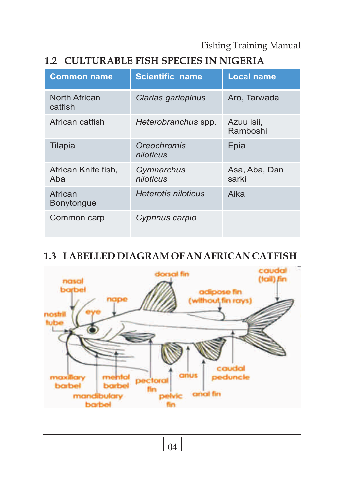#### **1.2 CULTURABLE FISH SPECIES IN NIGERIA**

| <b>Common name</b>           | <b>Scientific name</b>   | <b>Local name</b>      |
|------------------------------|--------------------------|------------------------|
| North African<br>catfish     | Clarias gariepinus       | Aro, Tarwada           |
| African catfish              | Heterobranchus spp.      | Azuu isii,<br>Ramboshi |
| Tilapia                      | Oreochromis<br>niloticus | Epia                   |
| African Knife fish,<br>Aba   | Gymnarchus<br>niloticus  | Asa, Aba, Dan<br>sarki |
| African<br><b>Bonytongue</b> | Heterotis niloticus      | Aika                   |
| Common carp                  | Cyprinus carpio          |                        |

#### **1.3 LABELLED DIAGRAM OF AN AFRICAN CATFISH**

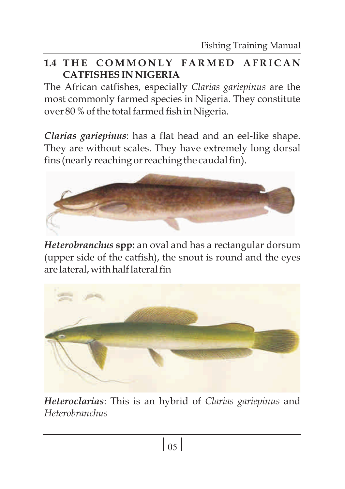#### **1.4 T H E C O M M O N L Y F A R M E D A F R I C A N CATFISHESIN NIGERIA**

The African catfishes, especially *Clarias gariepinus* are the most commonly farmed species in Nigeria. They constitute over 80 % of the total farmed fish in Nigeria.

*Clarias gariepinus*: has a flat head and an eel-like shape. They are without scales. They have extremely long dorsal fins (nearly reaching or reaching the caudal fin).



*Heterobranchus* **spp:** an oval and has a rectangular dorsum (upper side of the catfish), the snout is round and the eyes are lateral, with half lateral fin



*Heteroclarias*: This is an hybrid of *Clarias gariepinus* and *Heterobranchus*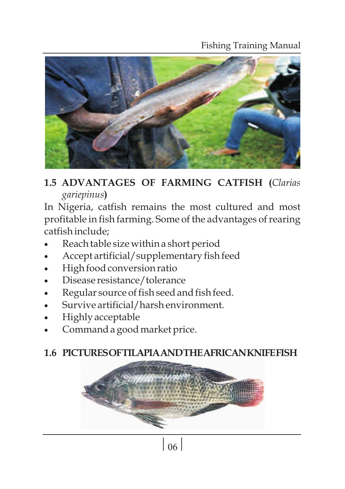#### Fishing Training Manual



**1.5 ADVANTAGES OF FARMING CATFISH (***Clarias gariepinus***)**

In Nigeria, catfish remains the most cultured and most profitable in fish farming. Some of the advantages of rearing catfish include;

- Reach table size within a short period
- Accept artificial/supplementary fish feed
- High food conversion ratio
- Disease resistance/tolerance
- Regular source of fish seed and fish feed.
- Survive artificial/harsh environment.
- Highly acceptable
- Command a good market price.

#### **1.6 PICTURESOFTILAPIAANDTHEAFRICANKNIFEFISH**



 $\sqrt{06}$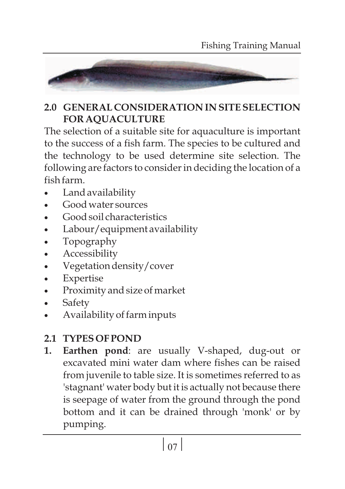

#### **2.0 GENERAL CONSIDERATION IN SITE SELECTION FOR AQUACULTURE**

The selection of a suitable site for aquaculture is important to the success of a fish farm. The species to be cultured and the technology to be used determine site selection. The following are factors to consider in deciding the location of a fish farm.

- Land availability
- ·Good water sources
- ·Good soil characteristics
- Labour/equipment availability
- ·Topography
- **Accessibility**
- Vegetation density/cover
- **Expertise**
- Proximity and size of market
- **Safety**
- ·Availability of farm inputs

# **2.1 TYPES OF POND**

**1. Earthen pond**: are usually V-shaped, dug-out or excavated mini water dam where fishes can be raised from juvenile to table size. It is sometimes referred to as 'stagnant' water body but it is actually not because there is seepage of water from the ground through the pond bottom and it can be drained through 'monk' or by pumping.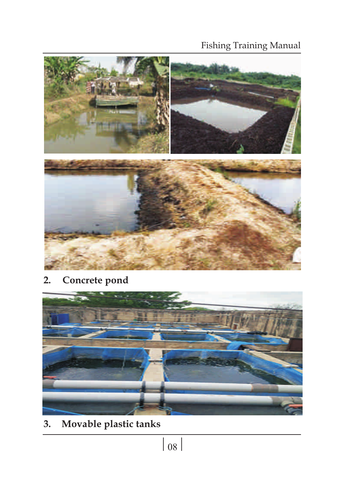#### Fishing Training Manual



**2. Concrete pond**



**3. Movable plastic tanks**

 $\boxed{08}$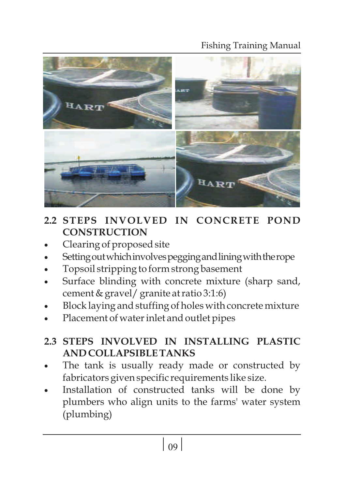#### Fishing Training Manual



### **2.2 STEPS INVOLVED IN CONCRETE POND CONSTRUCTION**

- Clearing of proposed site
- Setting out which involves pegging and lining with the rope
- ·Topsoil stripping to form strong basement
- Surface blinding with concrete mixture (sharp sand, cement & gravel/ granite at ratio 3:1:6)
- Block laying and stuffing of holes with concrete mixture
- Placement of water inlet and outlet pipes

#### **2.3 STEPS INVOLVED IN INSTALLING PLASTIC AND COLLAPSIBLE TANKS**

- The tank is usually ready made or constructed by fabricators given specific requirements like size.
- Installation of constructed tanks will be done by plumbers who align units to the farms' water system (plumbing)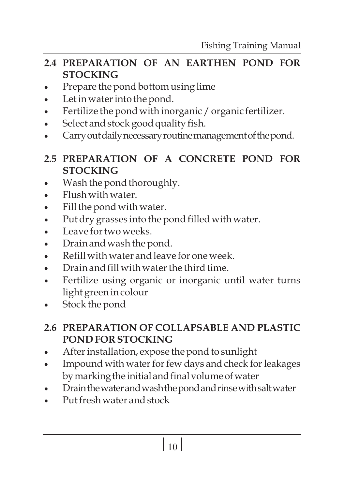#### **2.4 PREPARATION OF AN EARTHEN POND FOR STOCKING**

- Prepare the pond bottom using lime
- Let in water into the pond.
- Fertilize the pond with inorganic / organic fertilizer.
- Select and stock good quality fish.
- Carry out daily necessary routine management of the pond.

#### **2.5 PREPARATION OF A CONCRETE POND FOR STOCKING**

- Wash the pond thoroughly.
- ·Flush with water.
- ·Fill the pond with water.
- ·Put dry grasses into the pond filled with water.
- ·Leave for two weeks.
- Drain and wash the pond.
- ·Refill with water and leave for one week.
- ·Drain and fill with water the third time.
- Fertilize using organic or inorganic until water turns light green in colour
- Stock the pond

#### **2.6 PREPARATION OF COLLAPSABLE AND PLASTIC POND FOR STOCKING**

- After installation, expose the pond to sunlight
- Impound with water for few days and check for leakages by marking the initial and final volume of water
- Drain the water and wash the pond and rinse with salt water
- Put fresh water and stock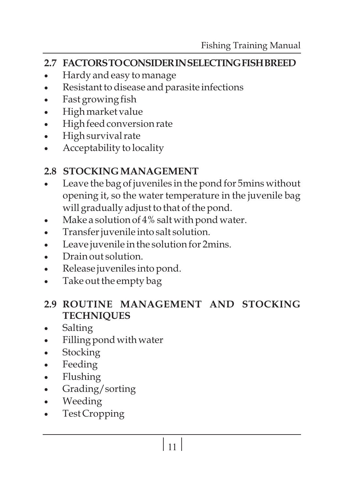#### **2.7 FACTORSTOCONSIDERINSELECTINGFISHBREED**

- Hardy and easy to manage
- Resistant to disease and parasite infections
- Fast growing fish
- ·High market value
- High feed conversion rate
- ·High survival rate
- Acceptability to locality

#### **2.8 STOCKING MANAGEMENT**

- Leave the bag of juveniles in the pond for 5mins without opening it, so the water temperature in the juvenile bag will gradually adjust to that of the pond.
- Make a solution of  $4\%$  salt with pond water.
- ·Transfer juvenile into salt solution.
- ·Leave juvenile in the solution for 2mins.
- Drain out solution.
- Release juveniles into pond.
- Take out the empty bag

#### **2.9 ROUTINE MANAGEMENT AND STOCKING TECHNIQUES**

- Salting
- Filling pond with water
- **Stocking**
- Feeding
- Flushing
- Grading/sorting
- ·Weeding
- Test Cropping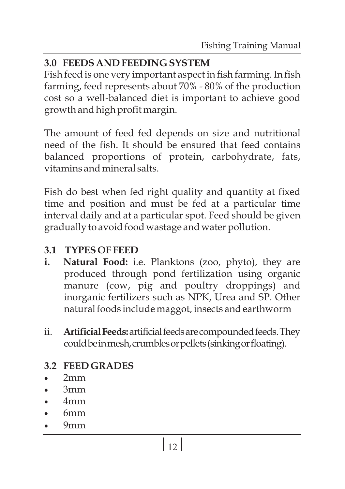#### **3.0 FEEDS AND FEEDING SYSTEM**

Fish feed is one very important aspect in fish farming. In fish farming, feed represents about 70% - 80% of the production cost so a well-balanced diet is important to achieve good growth and high profit margin.

The amount of feed fed depends on size and nutritional need of the fish. It should be ensured that feed contains balanced proportions of protein, carbohydrate, fats, vitamins and mineral salts.

Fish do best when fed right quality and quantity at fixed time and position and must be fed at a particular time interval daily and at a particular spot. Feed should be given gradually to avoid food wastage and water pollution.

#### **3.1 TYPES OF FEED**

- **i. Natural Food:** i.e. Planktons (zoo, phyto), they are produced through pond fertilization using organic manure (cow, pig and poultry droppings) and inorganic fertilizers such as NPK, Urea and SP. Other natural foods include maggot, insects and earthworm
- ii. **Artificial Feeds:** artificial feeds are compounded feeds. They could be in mesh, crumbles or pellets (sinking or floating).

#### **3.2 FEED GRADES**

- ·2mm
- ·3mm
- ·4mm
- ·6mm
- ·9mm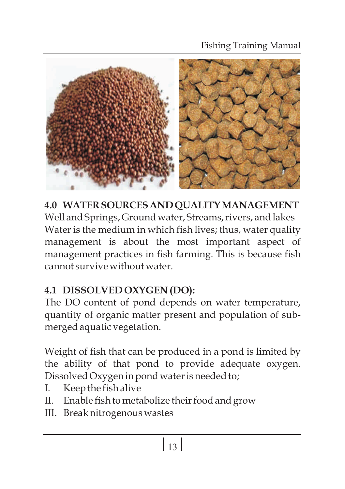

**4.0 WATERSOURCESANDQUALITYMANAGEMENT** Well and Springs, Ground water, Streams, rivers, and lakes Water is the medium in which fish lives; thus, water quality management is about the most important aspect of management practices in fish farming. This is because fish cannot survive without water.

# **4.1 DISSOLVED OXYGEN (DO):**

The DO content of pond depends on water temperature, quantity of organic matter present and population of submerged aquatic vegetation.

Weight of fish that can be produced in a pond is limited by the ability of that pond to provide adequate oxygen. Dissolved Oxygen in pond water is needed to;

- I. Keep the fish alive
- II. Enable fish to metabolize their food and grow
- III. Break nitrogenous wastes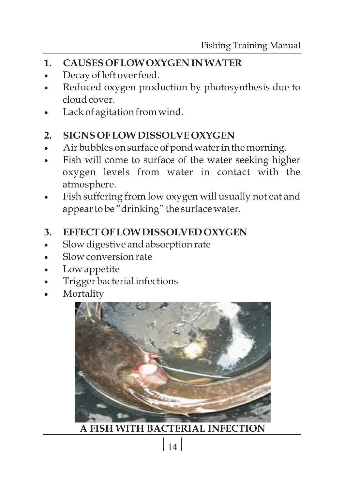- **1. CAUSES OF LOW OXYGEN IN WATER**
- Decay of left over feed.
- Reduced oxygen production by photosynthesis due to cloud cover.
- Lack of agitation from wind.

#### **2. SIGNS OF LOW DISSOLVE OXYGEN**

- Air bubbles on surface of pond water in the morning.
- Fish will come to surface of the water seeking higher oxygen levels from water in contact with the atmosphere.
- Fish suffering from low oxygen will usually not eat and appear to be "drinking" the surface water.

#### **3. EFFECT OF LOW DISSOLVED OXYGEN**

- Slow digestive and absorption rate
- ·Slow conversion rate
- Low appetite
- Trigger bacterial infections
- **Mortality**



 **A FISH WITH BACTERIAL INFECTION**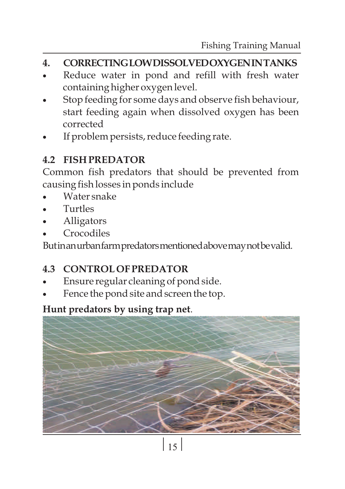#### **4. CORRECTINGLOWDISSOLVEDOXYGENINTANKS**

- Reduce water in pond and refill with fresh water containing higher oxygen level.
- Stop feeding for some days and observe fish behaviour, start feeding again when dissolved oxygen has been corrected
- If problem persists, reduce feeding rate.

#### **4.2 FISH PREDATOR**

Common fish predators that should be prevented from causing fish losses in ponds include

- ·Water snake
- ·Turtles
- **Alligators**
- **Crocodiles**

Butinanurbanfarmpredatorsmentionedabovemaynotbevalid.

#### **4.3 CONTROL OF PREDATOR**

- Ensure regular cleaning of pond side.
- Fence the pond site and screen the top.

#### **Hunt predators by using trap net**.

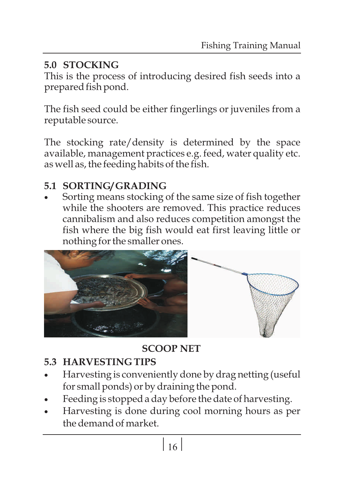# **5.0 STOCKING**

This is the process of introducing desired fish seeds into a prepared fish pond.

The fish seed could be either fingerlings or juveniles from a reputable source.

The stocking rate/density is determined by the space available, management practices e.g. feed, water quality etc. as well as, the feeding habits of the fish.

·**5.1 SORTING/ GRADING** Sorting means stocking of the same size of fish together while the shooters are removed. This practice reduces cannibalism and also reduces competition amongst the fish where the big fish would eat first leaving little or nothing for the smaller ones.



**SCOOP NET**

# **5.3 HARVESTING TIPS**

- Harvesting is conveniently done by drag netting (useful for small ponds) or by draining the pond.
- Feeding is stopped a day before the date of harvesting.
- Harvesting is done during cool morning hours as per the demand of market.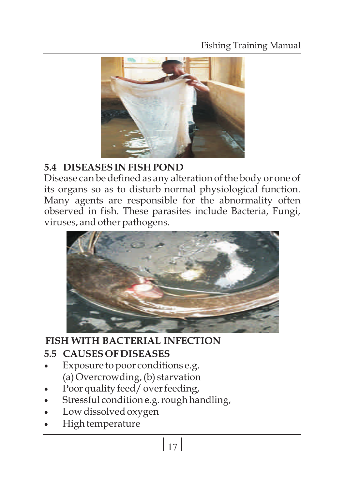#### Fishing Training Manual



#### **5.4 DISEASES IN FISH POND**

Disease can be defined as any alteration of the body or one of its organs so as to disturb normal physiological function. Many agents are responsible for the abnormality often observed in fish. These parasites include Bacteria, Fungi, viruses, and other pathogens.



#### **FISH WITH BACTERIAL INFECTION**

#### **5.5 CAUSES OF DISEASES**

- Exposure to poor conditions e.g. (a) Overcrowding, (b) starvation
- Poor quality feed/ over feeding,
- Stressful condition e.g. rough handling,
- Low dissolved oxygen
- High temperature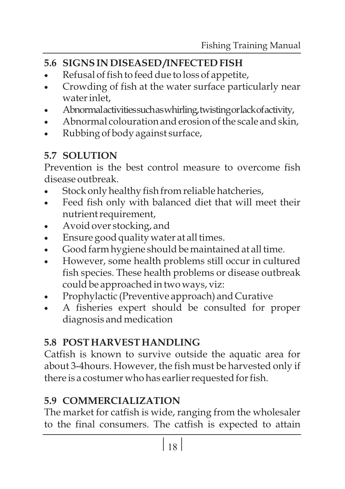# **5.6 SIGNSIN DISEASED /INFECTED FISH**

- Refusal of fish to feed due to loss of appetite,
- Crowding of fish at the water surface particularly near water inlet,
- ·Abnormalactivitiessuchaswhirling,twistingorlackofactivity,
- Abnormal colouration and erosion of the scale and skin,
- ·Rubbing of body against surface,

# **5.7 SOLUTION**

Prevention is the best control measure to overcome fish disease outbreak.

- Stock only healthy fish from reliable hatcheries,
- Feed fish only with balanced diet that will meet their nutrient requirement,
- Avoid over stocking, and
- ·Ensure good quality water at all times.
- ·Good farm hygiene should be maintained at all time.
- However, some health problems still occur in cultured fish species. These health problems or disease outbreak could be approached in two ways, viz:
- Prophylactic (Preventive approach) and Curative
- A fisheries expert should be consulted for proper diagnosis and medication

# **5.8 POST HARVEST HANDLING**

Catfish is known to survive outside the aquatic area for about 3-4hours. However, the fish must be harvested only if there is a costumer who has earlier requested for fish.

# **5.9 COMMERCIALIZATION**

The market for catfish is wide, ranging from the wholesaler to the final consumers. The catfish is expected to attain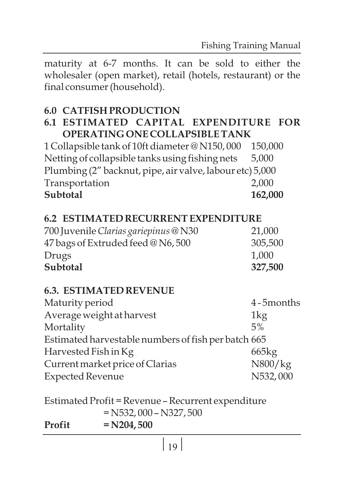maturity at 6-7 months. It can be sold to either the wholesaler (open market), retail (hotels, restaurant) or the final consumer (household).

# **6.0 CATFISH PRODUCTION**

#### **6.1 ESTIMATED CAPITAL EXPENDITURE FOR OPERATING ONE COLLAPSIBLE TANK**

1 Collapsible tank of 10ft diameter @ N150, 000 150,000 Netting of collapsible tanks using fishing nets 5,000 Plumbing (2" backnut, pipe, air valve, labour etc) 5,000 Transportation 2,000 **Subtotal 162,000**

#### **6.2 ESTIMATED RECURRENT EXPENDITURE**

| 700 Juvenile Clarias gariepinus @ N30 | 21,000  |
|---------------------------------------|---------|
| 47 bags of Extruded feed @ N6, 500    | 305,500 |
| Drugs                                 | 1,000   |
| Subtotal                              | 327,500 |

#### **6.3. ESTIMATED REVENUE**

| Maturity period                                     | 4-5months |
|-----------------------------------------------------|-----------|
| Average weight at harvest                           | 1kg       |
| Mortality                                           | 5%        |
| Estimated harvestable numbers of fish per batch 665 |           |
| Harvested Fish in Kg                                | 665kg     |
| Current market price of Clarias                     | N800/kg   |
| <b>Expected Revenue</b>                             | N532,000  |
|                                                     |           |

Estimated Profit = Revenue – Recurrent expenditure = N532, 000 – N327, 500 **Profit = N204, 500**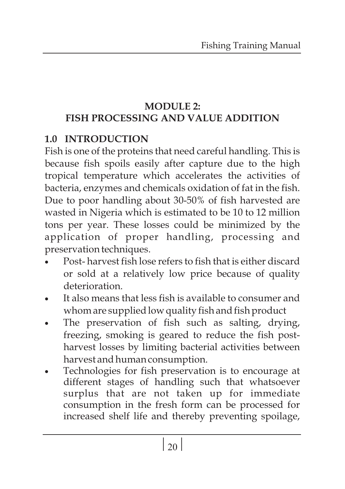#### **MODULE 2: FISH PROCESSING AND VALUE ADDITION**

#### **1.0 INTRODUCTION**

Fish is one of the proteins that need careful handling. This is because fish spoils easily after capture due to the high tropical temperature which accelerates the activities of bacteria, enzymes and chemicals oxidation of fat in the fish. Due to poor handling about 30-50% of fish harvested are wasted in Nigeria which is estimated to be 10 to 12 million tons per year. These losses could be minimized by the application of proper handling, processing and preservation techniques.

- Post- harvest fish lose refers to fish that is either discard or sold at a relatively low price because of quality deterioration.
- It also means that less fish is available to consumer and whom are supplied low quality fish and fish product
- The preservation of fish such as salting, drying, freezing, smoking is geared to reduce the fish postharvest losses by limiting bacterial activities between
- ·harvest and human consumption. Technologies for fish preservation is to encourage at different stages of handling such that whatsoever surplus that are not taken up for immediate consumption in the fresh form can be processed for increased shelf life and thereby preventing spoilage,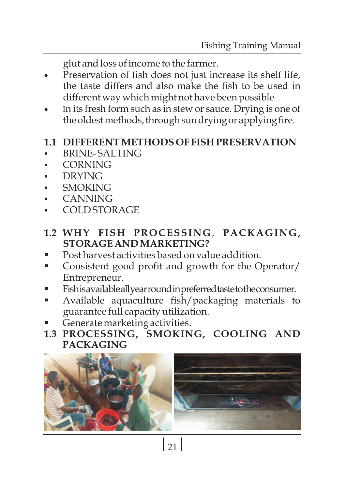- ·glut and loss of income to the farmer. Preservation of fish does not just increase its shelf life, the taste differs and also make the fish to be used in different way which might not have been possible
- ·different way which might not have been possible In its fresh form such as in stew or sauce. Drying is one of the oldest methods, through sun drying or applying fire.

#### §**1.1 DIFFERENT METHODS OF FISH PRESERVATION**

- BRINE- SALTING
- §CORNING
- §DRYING
- §SMOKING
- §CANNING
- §COLD STORAGE

# **1.2 WHY FISH PROCESSING**, **PACKAGING,**

- Post harvest activities based on value addition.
- Post harvest activities based on value addition.<br>■ Consistent good profit and growth for the Operator/ Entrepreneur.<br>Fishisavailableall year round in preferred taste to the consumer.
- 
- §Fishisavailableallyearroundinpreferredtastetotheconsumer. Available aquaculture fish/packaging materials to
- §guarantee full capacity utilization. Generate marketing activities.
- **1.3 PROCESSING, SMOKING, COOLING AND PACKAGING**

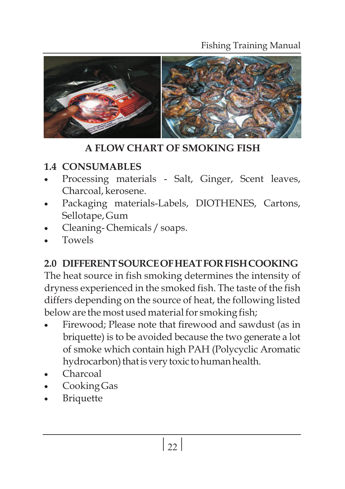#### Fishing Training Manual



 **A FLOW CHART OF SMOKING FISH**

#### **1.4 CONSUMABLES**

- Processing materials Salt, Ginger, Scent leaves, Charcoal, kerosene.
- Packaging materials-Labels, DIOTHENES, Cartons, Sellotape, Gum
- Cleaning-Chemicals / soaps.
- ·Towels

#### **2.0 DIFFERENTSOURCEOFHEATFORFISHCOOKING**

The heat source in fish smoking determines the intensity of dryness experienced in the smoked fish. The taste of the fish differs depending on the source of heat, the following listed below are the most used material for smoking fish;

- Firewood; Please note that firewood and sawdust (as in briquette) is to be avoided because the two generate a lot of smoke which contain high PAH (Polycyclic Aromatic hydrocarbon) that is very toxic to human health.
- ·Charcoal
- Cooking Gas
- **Briquette**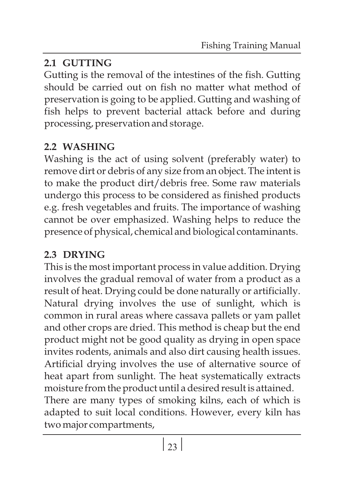# **2.1 GUTTING**

Gutting is the removal of the intestines of the fish. Gutting should be carried out on fish no matter what method of preservation is going to be applied. Gutting and washing of fish helps to prevent bacterial attack before and during processing, preservation and storage.

# **2.2 WASHING**

Washing is the act of using solvent (preferably water) to remove dirt or debris of any size from an object. The intent is to make the product dirt/debris free. Some raw materials undergo this process to be considered as finished products e.g. fresh vegetables and fruits. The importance of washing cannot be over emphasized. Washing helps to reduce the presence of physical, chemical and biological contaminants.

# **2.3 DRYING**

This is the most important process in value addition. Drying involves the gradual removal of water from a product as a result of heat. Drying could be done naturally or artificially. Natural drying involves the use of sunlight, which is common in rural areas where cassava pallets or yam pallet and other crops are dried. This method is cheap but the end product might not be good quality as drying in open space invites rodents, animals and also dirt causing health issues. Artificial drying involves the use of alternative source of heat apart from sunlight. The heat systematically extracts moisture from the product until a desired result is attained. There are many types of smoking kilns, each of which is adapted to suit local conditions. However, every kiln has two major compartments,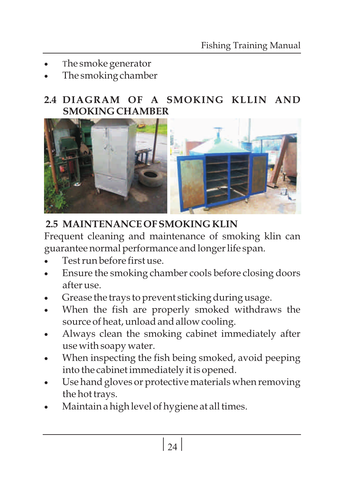- The smoke generator
- The smoking chamber

#### **2.4 DIAGRAM OF A SMOKING KLLIN AND SMOKING CHAMBER**



# **2.5 MAINTENANCE OF SMOKING KLIN**

Frequent cleaning and maintenance of smoking klin can guarantee normal performance and longer life span.

- ·Test run before first use.
- Ensure the smoking chamber cools before closing doors after use.
- Grease the trays to prevent sticking during usage.
- When the fish are properly smoked withdraws the source of heat, unload and allow cooling.
- Always clean the smoking cabinet immediately after use with soapy water.
- When inspecting the fish being smoked, avoid peeping into the cabinet immediately it is opened.
- Use hand gloves or protective materials when removing the hot trays.
- ·Maintain a high level of hygiene at all times.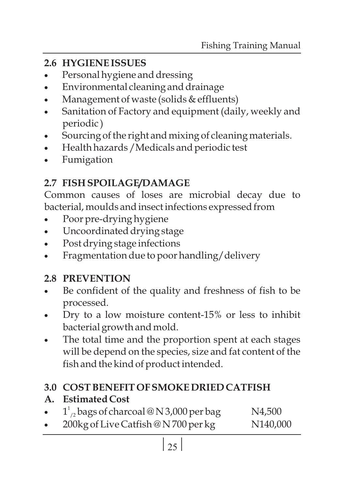## **2.6 HYGIENE ISSUES**

- Personal hygiene and dressing
- Environmental cleaning and drainage
- Management of waste (solids  $&$  effluents)
- Sanitation of Factory and equipment (daily, weekly and periodic )
- Sourcing of the right and mixing of cleaning materials.
- Health hazards / Medicals and periodic test
- ·Fumigation

# **2.7 FISH SPOILAGE/DAMAGE**

Common causes of loses are microbial decay due to bacterial, moulds and insect infections expressed from

- Poor pre-drying hygiene
- ·Uncoordinated drying stage
- Post drying stage infections
- Fragmentation due to poor handling/delivery

#### **2.8 PREVENTION**

- Be confident of the quality and freshness of fish to be processed.
- Dry to a low moisture content-15% or less to inhibit bacterial growth and mold.
- The total time and the proportion spent at each stages will be depend on the species, size and fat content of the fish and the kind of product intended.

# **3.0 COST BENEFIT OF SMOKE DRIED CATFISH**

# **A. Estimated Cost**

- $1^1_{/2}$  bags of charcoal @ N 3,000 per bag N4,500
- $\frac{1}{2}$  cags of charge of N37,000 per bag N47,000<br>•  $\frac{200 \text{kg of Live Catfish @ N700 per kg}}{140,000}$